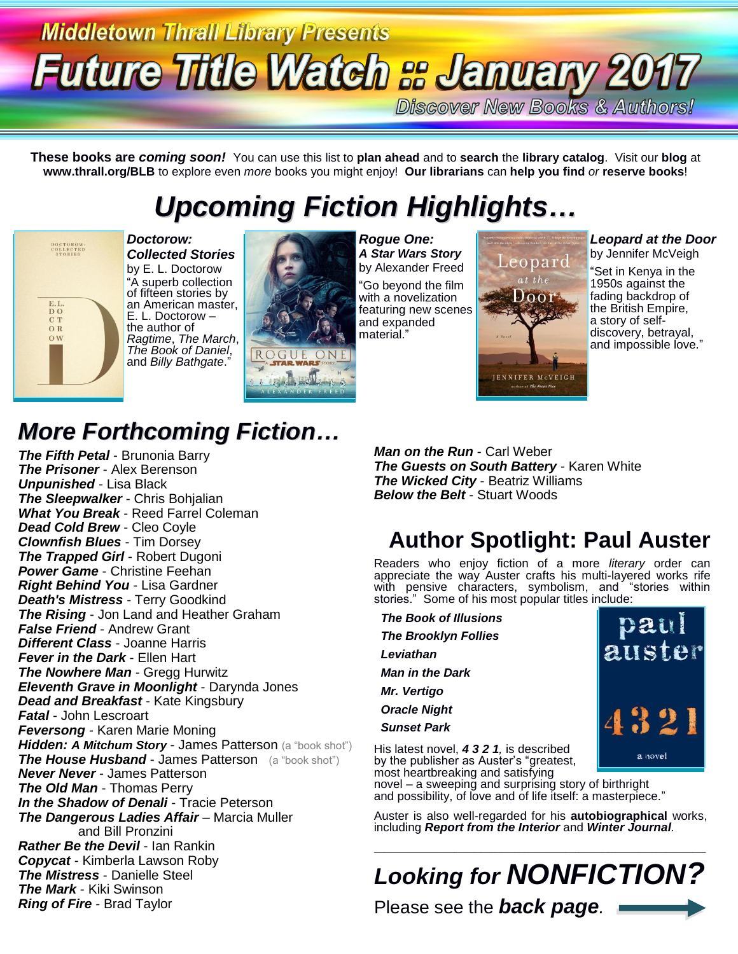# **Middletown Thrall Library Presents Future Title Watch & January 201**

Discover New Books & Authors!

**These books are** *coming soon!* You can use this list to **plan ahead** and to **search** the **library catalog**. Visit our **blog** at **www.thrall.org/BLB** to explore even *more* books you might enjoy! **Our librarians** can **help you find** *or* **reserve books**!

## *Upcoming Fiction Highlights…*



*Doctorow: Collected Stories* by E. L. Doctorow "A superb collection of fifteen stories by an American master, E. L. Doctorow – the author of *Ragtime*, *The March*, *The Book of Daniel*, and *Billy Bathgate*."



*Rogue One: A Star Wars Story* by Alexander Freed "Go beyond the film with a novelization featuring new scenes and expanded material."



*Leopard at the Door* by Jennifer McVeigh

"Set in Kenya in the 1950s against the fading backdrop of the British Empire, a story of selfdiscovery, betrayal, and impossible love."

### *More Forthcoming Fiction…*

*The Fifth Petal* - Brunonia Barry *The Prisoner* - Alex Berenson *Unpunished* - Lisa Black *The Sleepwalker* - Chris Bohjalian *What You Break* - Reed Farrel Coleman *Dead Cold Brew* - Cleo Coyle *Clownfish Blues* - Tim Dorsey *The Trapped Girl* - Robert Dugoni *Power Game* - Christine Feehan *Right Behind You* - Lisa Gardner *Death's Mistress* - Terry Goodkind *The Rising* - Jon Land and Heather Graham *False Friend* - Andrew Grant *Different Class* - Joanne Harris *Fever in the Dark* - Ellen Hart *The Nowhere Man* - Gregg Hurwitz *Eleventh Grave in Moonlight* - Darynda Jones *Dead and Breakfast* - Kate Kingsbury *Fatal* - John Lescroart *Feversong* - Karen Marie Moning *Hidden: A Mitchum Story* - James Patterson (a "book shot") **The House Husband - James Patterson** (a "book shot") *Never Never* - James Patterson *The Old Man* - Thomas Perry *In the Shadow of Denali* - Tracie Peterson *The Dangerous Ladies Affair* – Marcia Muller and Bill Pronzini *Rather Be the Devil* - Ian Rankin *Copycat* - Kimberla Lawson Roby *The Mistress* - Danielle Steel *The Mark* - Kiki Swinson *Ring of Fire* - Brad Taylor

*Man on the Run* - Carl Weber *The Guests on South Battery* - Karen White *The Wicked City* - Beatriz Williams *Below the Belt* - Stuart Woods

#### **Author Spotlight: Paul Auster**

Readers who enjoy fiction of a more *literary* order can appreciate the way Auster crafts his multi-layered works rife with pensive characters, symbolism, and "stories within stories." Some of his most popular titles include:

 *The Book of Illusions The Brooklyn Follies Leviathan Man in the Dark Mr. Vertigo Oracle Night Sunset Park* His latest novel, *4 3 2 1,* is described



Auster is also well-regarded for his **autobiographical** works, including *Report from the Interior* and *Winter Journal.*

# *Looking for NONFICTION?*

\_\_\_\_\_\_\_\_\_\_\_\_\_\_\_\_\_\_\_\_\_\_\_\_\_\_\_\_\_\_\_\_\_\_\_\_\_\_\_\_\_\_\_\_\_\_\_\_\_\_\_\_\_\_\_\_\_\_\_\_\_\_\_\_\_\_\_\_\_\_\_\_\_\_\_\_\_\_\_\_\_\_\_\_\_\_\_\_\_\_\_\_\_\_\_\_\_\_\_

Please see the *back page.*